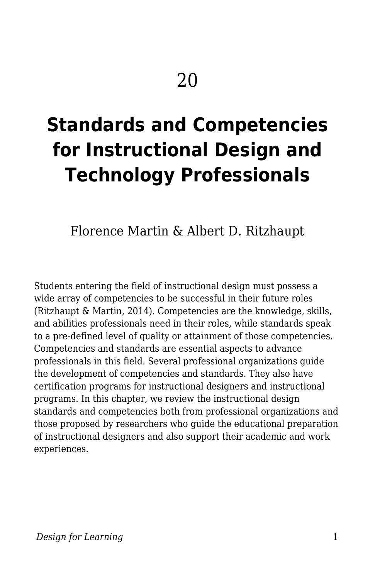# **Standards and Competencies for Instructional Design and Technology Professionals**

Florence Martin & Albert D. Ritzhaupt

Students entering the field of instructional design must possess a wide array of competencies to be successful in their future roles (Ritzhaupt & Martin, 2014). Competencies are the knowledge, skills, and abilities professionals need in their roles, while standards speak to a pre-defined level of quality or attainment of those competencies. Competencies and standards are essential aspects to advance professionals in this field. Several professional organizations guide the development of competencies and standards. They also have certification programs for instructional designers and instructional programs. In this chapter, we review the instructional design standards and competencies both from professional organizations and those proposed by researchers who guide the educational preparation of instructional designers and also support their academic and work experiences.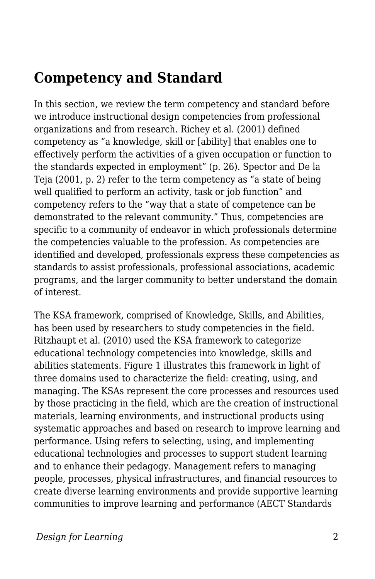## **Competency and Standard**

In this section, we review the term competency and standard before we introduce instructional design competencies from professional organizations and from research. Richey et al. (2001) defined competency as "a knowledge, skill or [ability] that enables one to effectively perform the activities of a given occupation or function to the standards expected in employment" (p. 26). Spector and De la Teja (2001, p. 2) refer to the term competency as "a state of being well qualified to perform an activity, task or job function" and competency refers to the "way that a state of competence can be demonstrated to the relevant community." Thus, competencies are specific to a community of endeavor in which professionals determine the competencies valuable to the profession. As competencies are identified and developed, professionals express these competencies as standards to assist professionals, professional associations, academic programs, and the larger community to better understand the domain of interest.

The KSA framework, comprised of Knowledge, Skills, and Abilities, has been used by researchers to study competencies in the field. Ritzhaupt et al. (2010) used the KSA framework to categorize educational technology competencies into knowledge, skills and abilities statements. Figure 1 illustrates this framework in light of three domains used to characterize the field: creating, using, and managing. The KSAs represent the core processes and resources used by those practicing in the field, which are the creation of instructional materials, learning environments, and instructional products using systematic approaches and based on research to improve learning and performance. Using refers to selecting, using, and implementing educational technologies and processes to support student learning and to enhance their pedagogy. Management refers to managing people, processes, physical infrastructures, and financial resources to create diverse learning environments and provide supportive learning communities to improve learning and performance (AECT Standards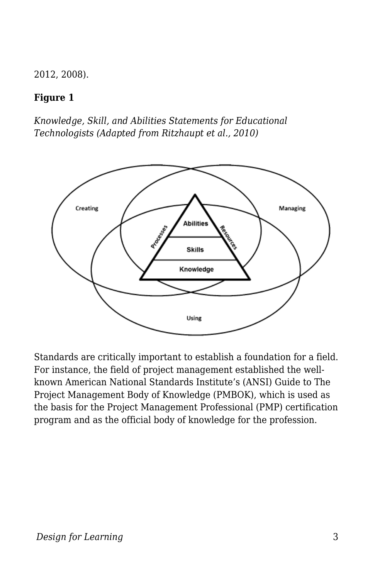2012, 2008).

#### **Figure 1**

*Knowledge, Skill, and Abilities Statements for Educational Technologists (Adapted from Ritzhaupt et al., 2010)*



Standards are critically important to establish a foundation for a field. For instance, the field of project management established the wellknown American National Standards Institute's (ANSI) Guide to The Project Management Body of Knowledge (PMBOK), which is used as the basis for the Project Management Professional (PMP) certification program and as the official body of knowledge for the profession.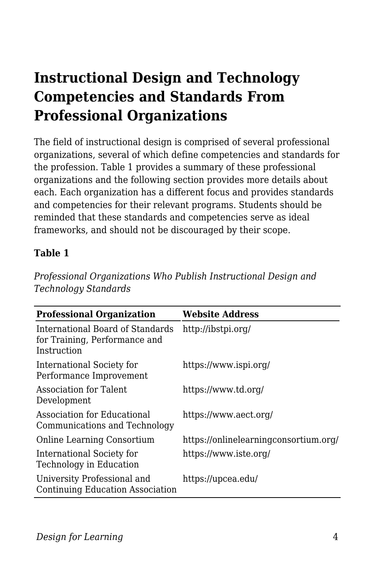## **Instructional Design and Technology Competencies and Standards From Professional Organizations**

The field of instructional design is comprised of several professional organizations, several of which define competencies and standards for the profession. Table 1 provides a summary of these professional organizations and the following section provides more details about each. Each organization has a different focus and provides standards and competencies for their relevant programs. Students should be reminded that these standards and competencies serve as ideal frameworks, and should not be discouraged by their scope.

#### **Table 1**

*Professional Organizations Who Publish Instructional Design and Technology Standards*

| <b>Professional Organization</b>                                                 | <b>Website Address</b>                |
|----------------------------------------------------------------------------------|---------------------------------------|
| International Board of Standards<br>for Training, Performance and<br>Instruction | http://ibstpi.org/                    |
| International Society for<br>Performance Improvement                             | https://www.ispi.org/                 |
| Association for Talent<br>Development                                            | https://www.td.org/                   |
| Association for Educational<br>Communications and Technology                     | https://www.aect.org/                 |
| Online Learning Consortium                                                       | https://onlinelearningconsortium.org/ |
| International Society for<br>Technology in Education                             | https://www.iste.org/                 |
| University Professional and<br>Continuing Education Association                  | https://upcea.edu/                    |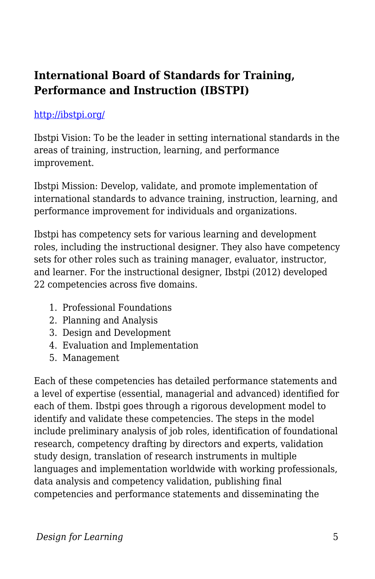### **International Board of Standards for Training, Performance and Instruction (IBSTPI)**

#### <http://ibstpi.org/>

Ibstpi Vision: To be the leader in setting international standards in the areas of training, instruction, learning, and performance improvement.

Ibstpi Mission: Develop, validate, and promote implementation of international standards to advance training, instruction, learning, and performance improvement for individuals and organizations.

Ibstpi has competency sets for various learning and development roles, including the instructional designer. They also have competency sets for other roles such as training manager, evaluator, instructor, and learner. For the instructional designer, Ibstpi (2012) developed 22 competencies across five domains.

- 1. Professional Foundations
- 2. Planning and Analysis
- 3. Design and Development
- 4. Evaluation and Implementation
- 5. Management

Each of these competencies has detailed performance statements and a level of expertise (essential, managerial and advanced) identified for each of them. Ibstpi goes through a rigorous development model to identify and validate these competencies. The steps in the model include preliminary analysis of job roles, identification of foundational research, competency drafting by directors and experts, validation study design, translation of research instruments in multiple languages and implementation worldwide with working professionals, data analysis and competency validation, publishing final competencies and performance statements and disseminating the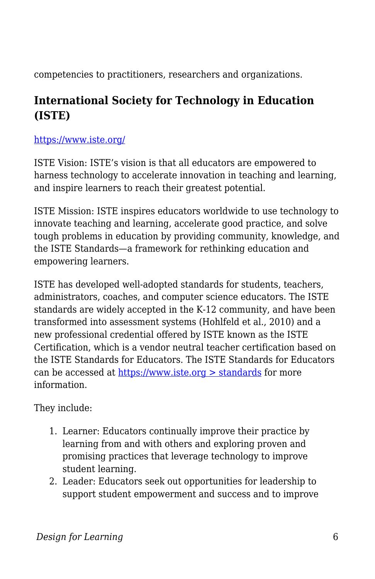competencies to practitioners, researchers and organizations.

### **International Society for Technology in Education (ISTE)**

#### <https://www.iste.org/>

ISTE Vision: ISTE's vision is that all educators are empowered to harness technology to accelerate innovation in teaching and learning, and inspire learners to reach their greatest potential.

ISTE Mission: ISTE inspires educators worldwide to use technology to innovate teaching and learning, accelerate good practice, and solve tough problems in education by providing community, knowledge, and the ISTE Standards—a framework for rethinking education and empowering learners.

ISTE has developed well-adopted standards for students, teachers, administrators, coaches, and computer science educators. The ISTE standards are widely accepted in the K-12 community, and have been transformed into assessment systems (Hohlfeld et al., 2010) and a new professional credential offered by ISTE known as the ISTE Certification, which is a vendor neutral teacher certification based on the ISTE Standards for Educators. The ISTE Standards for Educators can be accessed at [https://www.iste.org > standards](https://www.iste.org/standards) for more information.

They include:

- 1. Learner: Educators continually improve their practice by learning from and with others and exploring proven and promising practices that leverage technology to improve student learning.
- 2. Leader: Educators seek out opportunities for leadership to support student empowerment and success and to improve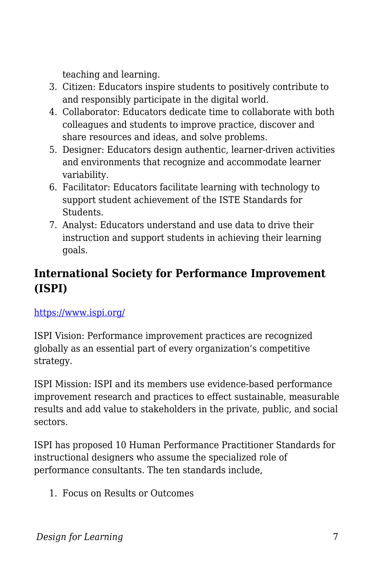teaching and learning.

- 3. Citizen: Educators inspire students to positively contribute to and responsibly participate in the digital world.
- 4. Collaborator: Educators dedicate time to collaborate with both colleagues and students to improve practice, discover and share resources and ideas, and solve problems.
- 5. Designer: Educators design authentic, learner-driven activities and environments that recognize and accommodate learner variability.
- 6. Facilitator: Educators facilitate learning with technology to support student achievement of the ISTE Standards for Students.
- 7. Analyst: Educators understand and use data to drive their instruction and support students in achieving their learning goals.

## **International Society for Performance Improvement (ISPI)**

#### <https://www.ispi.org/>

ISPI Vision: Performance improvement practices are recognized globally as an essential part of every organization's competitive strategy.

ISPI Mission: ISPI and its members use evidence-based performance improvement research and practices to effect sustainable, measurable results and add value to stakeholders in the private, public, and social sectors.

ISPI has proposed 10 Human Performance Practitioner Standards for instructional designers who assume the specialized role of performance consultants. The ten standards include,

1. Focus on Results or Outcomes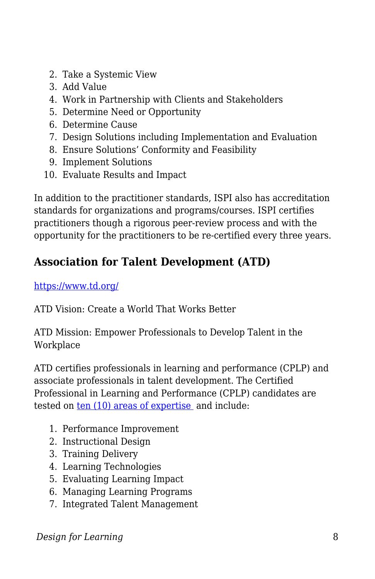- 2. Take a Systemic View
- 3. Add Value
- 4. Work in Partnership with Clients and Stakeholders
- 5. Determine Need or Opportunity
- 6. Determine Cause
- 7. Design Solutions including Implementation and Evaluation
- 8. Ensure Solutions' Conformity and Feasibility
- 9. Implement Solutions
- 10. Evaluate Results and Impact

In addition to the practitioner standards, ISPI also has accreditation standards for organizations and programs/courses. ISPI certifies practitioners though a rigorous peer-review process and with the opportunity for the practitioners to be re-certified every three years.

## **Association for Talent Development (ATD)**

#### <https://www.td.org/>

ATD Vision: Create a World That Works Better

ATD Mission: Empower Professionals to Develop Talent in the Workplace

ATD certifies professionals in learning and performance (CPLP) and associate professionals in talent development. The Certified Professional in Learning and Performance (CPLP) candidates are tested on [ten \(10\) areas of expertise](https://www.td.org/certification/atd-competency-mode) and include:

- 1. Performance Improvement
- 2. Instructional Design
- 3. Training Delivery
- 4. Learning Technologies
- 5. Evaluating Learning Impact
- 6. Managing Learning Programs
- 7. Integrated Talent Management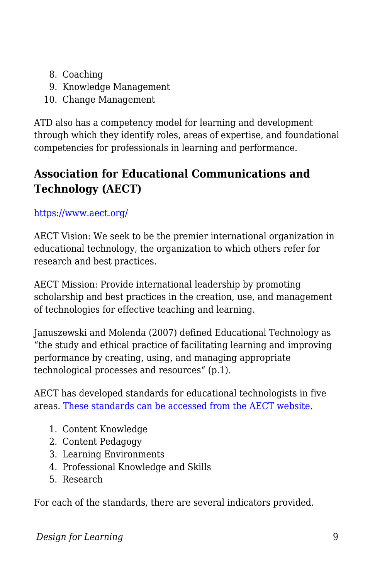- 8. Coaching
- 9. Knowledge Management
- 10. Change Management

ATD also has a competency model for learning and development through which they identify roles, areas of expertise, and foundational competencies for professionals in learning and performance.

## **Association for Educational Communications and Technology (AECT)**

#### <https://www.aect.org/>

AECT Vision: We seek to be the premier international organization in educational technology, the organization to which others refer for research and best practices.

AECT Mission: Provide international leadership by promoting scholarship and best practices in the creation, use, and management of technologies for effective teaching and learning.

Januszewski and Molenda (2007) defined Educational Technology as "the study and ethical practice of facilitating learning and improving performance by creating, using, and managing appropriate technological processes and resources" (p.1).

AECT has developed standards for educational technologists in five areas. [These standards can be accessed from the AECT website.](https://www.aect.org/docs/AECTstandards2012.pdf)

- 1. Content Knowledge
- 2. Content Pedagogy
- 3. Learning Environments
- 4. Professional Knowledge and Skills
- 5. Research

For each of the standards, there are several indicators provided.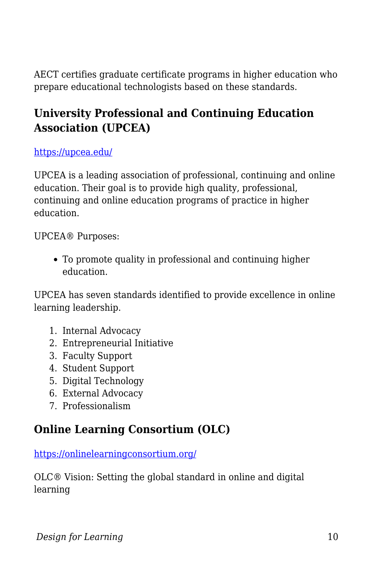AECT certifies graduate certificate programs in higher education who prepare educational technologists based on these standards.

### **University Professional and Continuing Education Association (UPCEA)**

<https://upcea.edu/>

UPCEA is a leading association of professional, continuing and online education. Their goal is to provide high quality, professional, continuing and online education programs of practice in higher education.

UPCEA® Purposes:

To promote quality in professional and continuing higher education.

UPCEA has seven standards identified to provide excellence in online learning leadership.

- 1. Internal Advocacy
- 2. Entrepreneurial Initiative
- 3. Faculty Support
- 4. Student Support
- 5. Digital Technology
- 6. External Advocacy
- 7. Professionalism

### **Online Learning Consortium (OLC)**

<https://onlinelearningconsortium.org/>

OLC® Vision: Setting the global standard in online and digital learning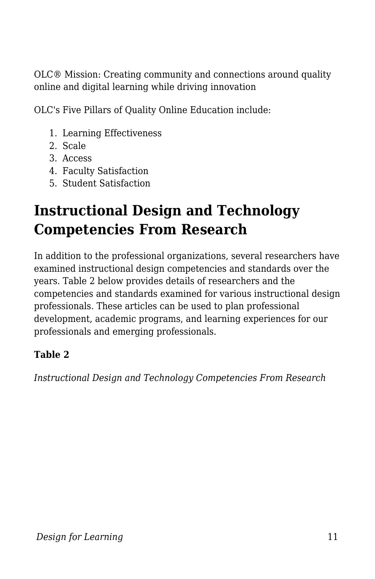OLC® Mission: Creating community and connections around quality online and digital learning while driving innovation

OLC's Five Pillars of Quality Online Education include:

- 1. Learning Effectiveness
- 2. Scale
- 3. Access
- 4. Faculty Satisfaction
- 5. Student Satisfaction

## **Instructional Design and Technology Competencies From Research**

In addition to the professional organizations, several researchers have examined instructional design competencies and standards over the years. Table 2 below provides details of researchers and the competencies and standards examined for various instructional design professionals. These articles can be used to plan professional development, academic programs, and learning experiences for our professionals and emerging professionals.

#### **Table 2**

*Instructional Design and Technology Competencies From Research*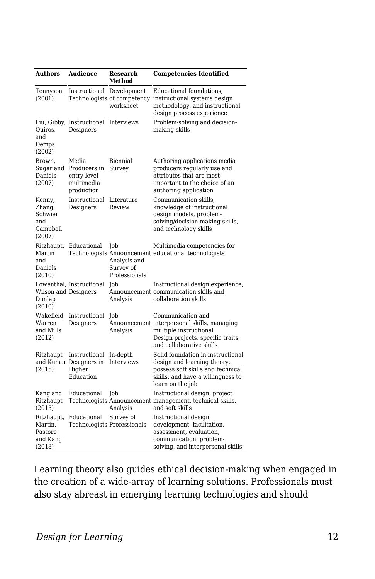| <b>Authors</b>                                           | <b>Audience</b>                                                  | <b>Research</b><br>Method                         | <b>Competencies Identified</b>                                                                                                                                 |
|----------------------------------------------------------|------------------------------------------------------------------|---------------------------------------------------|----------------------------------------------------------------------------------------------------------------------------------------------------------------|
| Tennyson<br>(2001)                                       | Instructional Development                                        | worksheet                                         | Educational foundations,<br>Technologists of competency instructional systems design<br>methodology, and instructional<br>design process experience            |
| Quiros,<br>and<br>Demps<br>(2002)                        | Liu, Gibby, Instructional<br>Designers                           | Interviews                                        | Problem-solving and decision-<br>making skills                                                                                                                 |
| Brown,<br>Sugar and<br>Daniels<br>(2007)                 | Media<br>Producers in<br>entry-level<br>multimedia<br>production | Biennial<br>Survey                                | Authoring applications media<br>producers regularly use and<br>attributes that are most<br>important to the choice of an<br>authoring application              |
| Kenny,<br>Zhang,<br>Schwier<br>and<br>Campbell<br>(2007) | Instructional<br>Designers                                       | Literature<br>Review                              | Communication skills.<br>knowledge of instructional<br>design models, problem-<br>solving/decision-making skills,<br>and technology skills                     |
| Ritzhaupt,<br>Martin<br>and<br>Daniels<br>(2010)         | Educational                                                      | Job<br>Analysis and<br>Survey of<br>Professionals | Multimedia competencies for<br>Technologists Announcement educational technologists                                                                            |
| Wilson and Designers<br>Dunlap<br>(2010)                 | Lowenthal, Instructional                                         | Job<br>Analysis                                   | Instructional design experience,<br>Announcement communication skills and<br>collaboration skills                                                              |
| Warren<br>and Mills<br>(2012)                            | Wakefield, Instructional<br>Designers                            | Job<br>Analysis                                   | Communication and<br>Announcement interpersonal skills, managing<br>multiple instructional<br>Design projects, specific traits,<br>and collaborative skills    |
| Ritzhaupt<br>(2015)                                      | Instructional<br>and Kumar Designers in<br>Higher<br>Education   | In-depth<br><b>Interviews</b>                     | Solid foundation in instructional<br>design and learning theory,<br>possess soft skills and technical<br>skills, and have a willingness to<br>learn on the job |
| Kang and<br>Ritzhaupt<br>(2015)                          | Educational                                                      | Job<br>Analysis                                   | Instructional design, project<br>Technologists Announcement management, technical skills,<br>and soft skills                                                   |
| Ritzhaupt,<br>Martin.<br>Pastore<br>and Kang<br>(2018)   | Educational<br>Technologists Professionals                       | Survey of                                         | Instructional design,<br>development, facilitation,<br>assessment, evaluation,<br>communication, problem-<br>solving, and interpersonal skills                 |

Learning theory also guides ethical decision-making when engaged in the creation of a wide-array of learning solutions. Professionals must also stay abreast in emerging learning technologies and should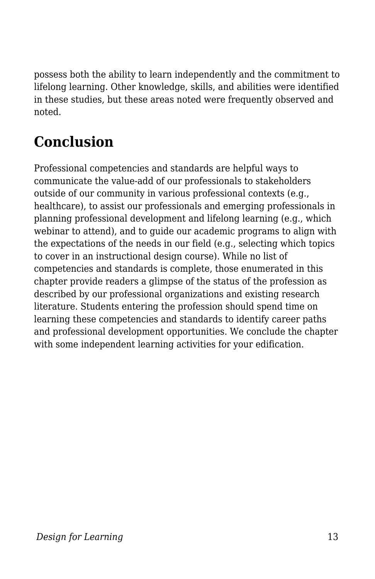possess both the ability to learn independently and the commitment to lifelong learning. Other knowledge, skills, and abilities were identified in these studies, but these areas noted were frequently observed and noted.

## **Conclusion**

Professional competencies and standards are helpful ways to communicate the value-add of our professionals to stakeholders outside of our community in various professional contexts (e.g., healthcare), to assist our professionals and emerging professionals in planning professional development and lifelong learning (e.g., which webinar to attend), and to guide our academic programs to align with the expectations of the needs in our field (e.g., selecting which topics to cover in an instructional design course). While no list of competencies and standards is complete, those enumerated in this chapter provide readers a glimpse of the status of the profession as described by our professional organizations and existing research literature. Students entering the profession should spend time on learning these competencies and standards to identify career paths and professional development opportunities. We conclude the chapter with some independent learning activities for your edification.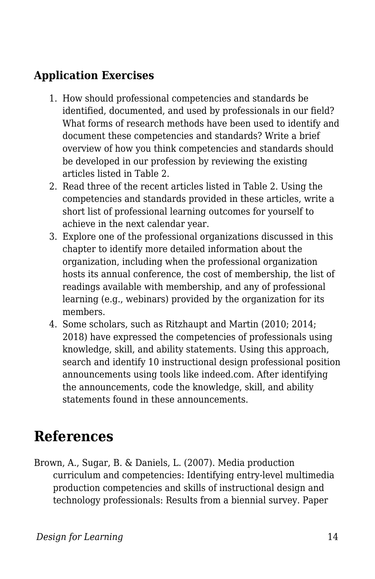### **Application Exercises**

- 1. How should professional competencies and standards be identified, documented, and used by professionals in our field? What forms of research methods have been used to identify and document these competencies and standards? Write a brief overview of how you think competencies and standards should be developed in our profession by reviewing the existing articles listed in Table 2.
- 2. Read three of the recent articles listed in Table 2. Using the competencies and standards provided in these articles, write a short list of professional learning outcomes for yourself to achieve in the next calendar year.
- 3. Explore one of the professional organizations discussed in this chapter to identify more detailed information about the organization, including when the professional organization hosts its annual conference, the cost of membership, the list of readings available with membership, and any of professional learning (e.g., webinars) provided by the organization for its members.
- 4. Some scholars, such as Ritzhaupt and Martin (2010; 2014; 2018) have expressed the competencies of professionals using knowledge, skill, and ability statements. Using this approach, search and identify 10 instructional design professional position announcements using tools like indeed.com. After identifying the announcements, code the knowledge, skill, and ability statements found in these announcements.

## **References**

Brown, A., Sugar, B. & Daniels, L. (2007). Media production curriculum and competencies: Identifying entry-level multimedia production competencies and skills of instructional design and technology professionals: Results from a biennial survey. Paper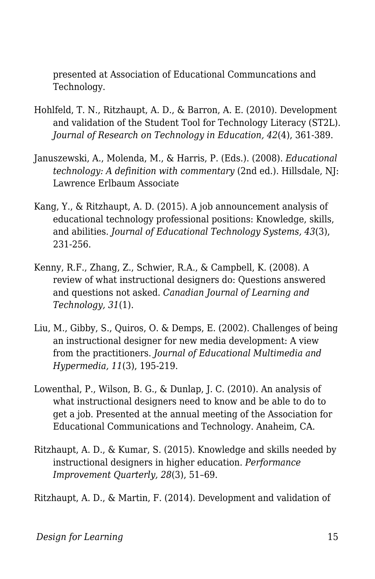presented at Association of Educational Communcations and Technology.

- Hohlfeld, T. N., Ritzhaupt, A. D., & Barron, A. E. (2010). Development and validation of the Student Tool for Technology Literacy (ST2L). *Journal of Research on Technology in Education, 42*(4), 361-389.
- Januszewski, A., Molenda, M., & Harris, P. (Eds.). (2008). *Educational technology: A definition with commentary* (2nd ed.). Hillsdale, NJ: Lawrence Erlbaum Associate
- Kang, Y., & Ritzhaupt, A. D. (2015). A job announcement analysis of educational technology professional positions: Knowledge, skills, and abilities. *Journal of Educational Technology Systems, 43*(3), 231-256.
- Kenny, R.F., Zhang, Z., Schwier, R.A., & Campbell, K. (2008). A review of what instructional designers do: Questions answered and questions not asked. *Canadian Journal of Learning and Technology, 31*(1).
- Liu, M., Gibby, S., Quiros, O. & Demps, E. (2002). Challenges of being an instructional designer for new media development: A view from the practitioners. *Journal of Educational Multimedia and Hypermedia, 11*(3), 195-219.
- Lowenthal, P., Wilson, B. G., & Dunlap, J. C. (2010). An analysis of what instructional designers need to know and be able to do to get a job. Presented at the annual meeting of the Association for Educational Communications and Technology. Anaheim, CA.
- Ritzhaupt, A. D., & Kumar, S. (2015). Knowledge and skills needed by instructional designers in higher education. *Performance Improvement Quarterly, 28*(3), 51–69.

Ritzhaupt, A. D., & Martin, F. (2014). Development and validation of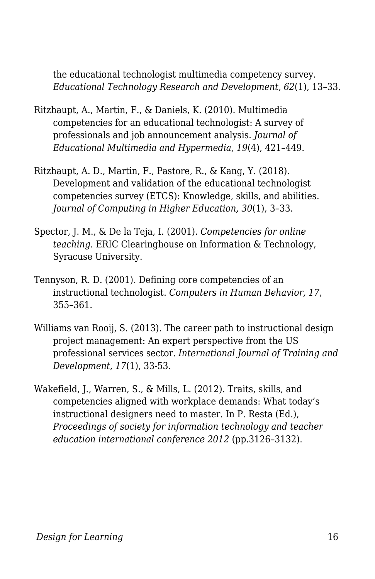the educational technologist multimedia competency survey. *Educational Technology Research and Development, 62*(1), 13–33.

- Ritzhaupt, A., Martin, F., & Daniels, K. (2010). Multimedia competencies for an educational technologist: A survey of professionals and job announcement analysis. *Journal of Educational Multimedia and Hypermedia, 19*(4), 421–449.
- Ritzhaupt, A. D., Martin, F., Pastore, R., & Kang, Y. (2018). Development and validation of the educational technologist competencies survey (ETCS): Knowledge, skills, and abilities. *Journal of Computing in Higher Education, 30*(1), 3–33.
- Spector, J. M., & De la Teja, I. (2001). *Competencies for online teaching*. ERIC Clearinghouse on Information & Technology, Syracuse University.
- Tennyson, R. D. (2001). Defining core competencies of an instructional technologist. *Computers in Human Behavior, 17*, 355–361.
- Williams van Rooij, S. (2013). The career path to instructional design project management: An expert perspective from the US professional services sector. *International Journal of Training and Development, 17*(1), 33-53.
- Wakefield, J., Warren, S., & Mills, L. (2012). Traits, skills, and competencies aligned with workplace demands: What today's instructional designers need to master. In P. Resta (Ed.), *Proceedings of society for information technology and teacher education international conference 2012* (pp.3126–3132).